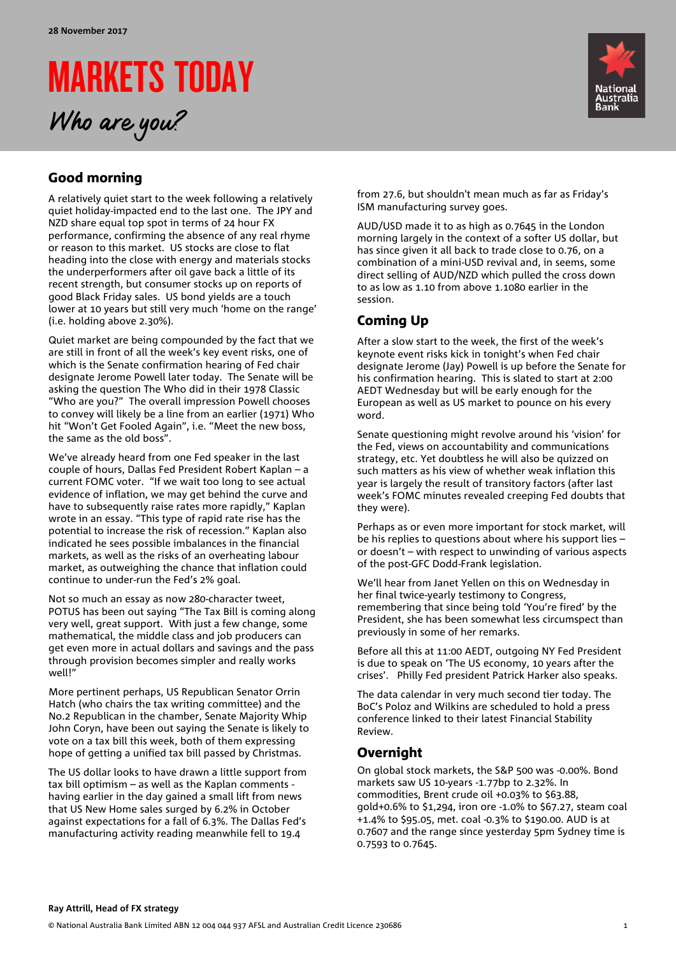# MARKETS TODAY Who are you?



## Good morning

A relatively quiet start to the week following a relatively quiet holiday-impacted end to the last one. The JPY and NZD share equal top spot in terms of 24 hour FX performance, confirming the absence of any real rhyme or reason to this market. US stocks are close to flat heading into the close with energy and materials stocks the underperformers after oil gave back a little of its recent strength, but consumer stocks up on reports of good Black Friday sales. US bond yields are a touch lower at 10 years but still very much 'home on the range' (i.e. holding above 2.30%).

Quiet market are being compounded by the fact that we are still in front of all the week's key event risks, one of which is the Senate confirmation hearing of Fed chair designate Jerome Powell later today. The Senate will be asking the question The Who did in their 1978 Classic "Who are you?" The overall impression Powell chooses to convey will likely be a line from an earlier (1971) Who hit "Won't Get Fooled Again", i.e. "Meet the new boss, the same as the old boss".

We've already heard from one Fed speaker in the last couple of hours, Dallas Fed President Robert Kaplan – a current FOMC voter. "If we wait too long to see actual evidence of inflation, we may get behind the curve and have to subsequently raise rates more rapidly," Kaplan wrote in an essay. "This type of rapid rate rise has the potential to increase the risk of recession." Kaplan also indicated he sees possible imbalances in the financial markets, as well as the risks of an overheating labour market, as outweighing the chance that inflation could continue to under-run the Fed's 2% goal.

Not so much an essay as now 280-character tweet, POTUS has been out saying "The Tax Bill is coming along very well, great support. With just a few change, some mathematical, the middle class and job producers can get even more in actual dollars and savings and the pass through provision becomes simpler and really works well!"

More pertinent perhaps, US Republican Senator Orrin Hatch (who chairs the tax writing committee) and the No.2 Republican in the chamber, Senate Majority Whip John Coryn, have been out saying the Senate is likely to vote on a tax bill this week, both of them expressing hope of getting a unified tax bill passed by Christmas.

The US dollar looks to have drawn a little support from tax bill optimism – as well as the Kaplan comments having earlier in the day gained a small lift from news that US New Home sales surged by 6.2% in October against expectations for a fall of 6.3%. The Dallas Fed's manufacturing activity reading meanwhile fell to 19.4

from 27.6, but shouldn't mean much as far as Friday's ISM manufacturing survey goes.

AUD/USD made it to as high as 0.7645 in the London morning largely in the context of a softer US dollar, but has since given it all back to trade close to 0.76, on a combination of a mini-USD revival and, in seems, some direct selling of AUD/NZD which pulled the cross down to as low as 1.10 from above 1.1080 earlier in the session.

### Coming Up

After a slow start to the week, the first of the week's keynote event risks kick in tonight's when Fed chair designate Jerome (Jay) Powell is up before the Senate for his confirmation hearing. This is slated to start at 2:00 AEDT Wednesday but will be early enough for the European as well as US market to pounce on his every word.

Senate questioning might revolve around his 'vision' for the Fed, views on accountability and communications strategy, etc. Yet doubtless he will also be quizzed on such matters as his view of whether weak inflation this year is largely the result of transitory factors (after last week's FOMC minutes revealed creeping Fed doubts that they were).

Perhaps as or even more important for stock market, will be his replies to questions about where his support lies – or doesn't – with respect to unwinding of various aspects of the post-GFC Dodd-Frank legislation.

We'll hear from Janet Yellen on this on Wednesday in her final twice-yearly testimony to Congress, remembering that since being told 'You're fired' by the President, she has been somewhat less circumspect than previously in some of her remarks.

Before all this at 11:00 AEDT, outgoing NY Fed President is due to speak on 'The US economy, 10 years after the crises'. Philly Fed president Patrick Harker also speaks.

The data calendar in very much second tier today. The BoC's Poloz and Wilkins are scheduled to hold a press conference linked to their latest Financial Stability Review.

### **Overnight**

On global stock markets, the S&P 500 was -0.00%. Bond markets saw US 10-years -1.77bp to 2.32%. In commodities, Brent crude oil +0.03% to \$63.88, gold+0.6% to \$1,294, iron ore -1.0% to \$67.27, steam coal +1.4% to \$95.05, met. coal -0.3% to \$190.00. AUD is at 0.7607 and the range since yesterday 5pm Sydney time is 0.7593 to 0.7645.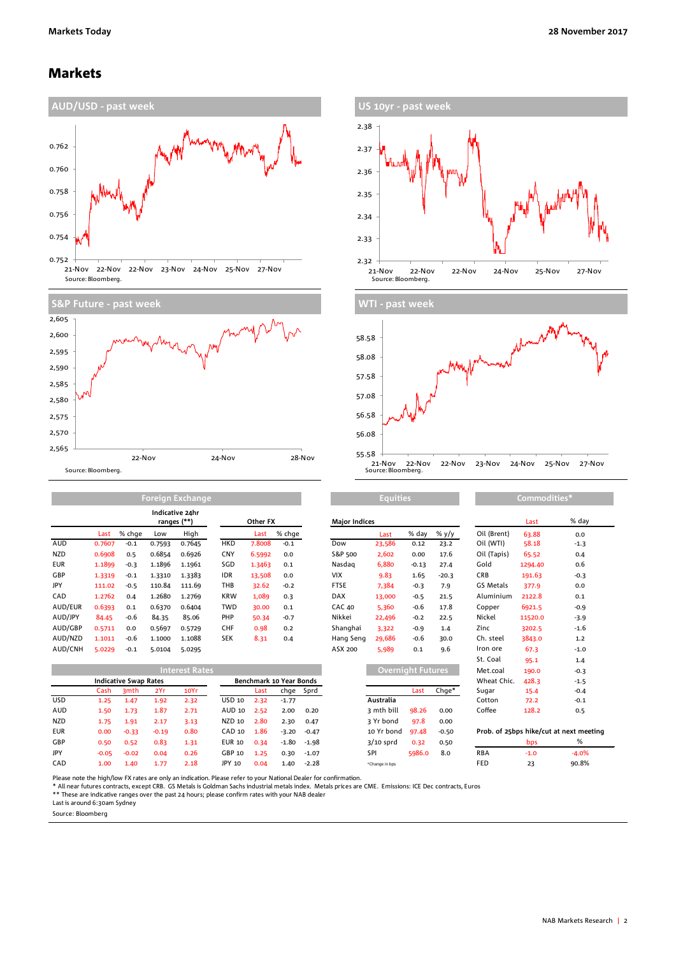### Markets









**Equities Commodities\***

AUD 0.7607 -0.1 0.7593 0.7645 HKD 7.8008 -0.1 Dow 23,586 0.12 23.2 Oil (WTI) 58.18 -1.3 NZD 0.6908 0.5 0.6854 0.6926 CNY 6.5992 0.0 S&P 500 2,602 0.00 17.6 Oil (Tapis) 65.52 0.4 EUR 1.1899 -0.3 1.1896 1.1961 SGD 1.3463 0.1 Nasdaq 6,880 -0.13 27.4 Gold 1294.40 0.6 GBP 1.3319 -0.1 1.3310 1.3383 IDR 13,508 0.0 VIX 9.83 1.65 -20.3 CRB 191.63 -0.3 JPY 111.02 -0.5 110.84 111.69 THB 32.62 -0.2 FTSE 7,384 -0.3 7.9 GS Metals 377.9 0.0 CAD 1.2762 0.4 1.2680 1.2769 KRW 1,089 0.3 DAX 13,000 -0.5 21.5 Aluminium 2122.8 0.1 AUD/EUR 0.6393 0.1 0.6370 0.6404 TWD 30.00 0.1 CAC 40 5,360 -0.6 17.8 Copper 6921.5 -0.9 AUD/JPY 84.45 -0.6 84.35 85.06 PHP 50.34 -0.7 Nikkei 22,496 -0.2 22.5 Nickel 11520.0 -3.9 AUD/GBP 0.5711 0.0 0.5697 0.5729 CHF 0.98 0.2 Shanghai 3,322 -0.9 1.4 Zinc 3202.5 -1.6 AUD/NZD 1.1011 -0.6 1.1000 1.1088 SEK 8.31 0.4 Hang Seng 29,686 -0.6 30.0 Ch. steel 3843.0 1.2 **Indicative 24hr ranges (\*\*)**

|            |                              |         |         | <b>Interest Rates</b> |               |      |                         |           |                | <b>Overnight Futures</b> |         | Met.coal    | 190.0  | $-0.3$                                  |
|------------|------------------------------|---------|---------|-----------------------|---------------|------|-------------------------|-----------|----------------|--------------------------|---------|-------------|--------|-----------------------------------------|
|            | <b>Indicative Swap Rates</b> |         |         |                       |               |      | Benchmark 10 Year Bonds |           |                |                          |         | Wheat Chic. | 428.3  | $-1.5$                                  |
|            | Cash                         | 3mth    | 2Yr     | 10Yr                  |               | Last |                         | chge Sprd |                | Last                     | Chge*   | Sugar       | 15.4   | $-0.4$                                  |
| <b>USD</b> | 1.25                         | 1.47    | 1.92    | 2.32                  | USD 10        | 2.32 | $-1.77$                 |           | Australia      |                          |         | Cotton      | 72.2   | $-0.1$                                  |
| AUD        | 1.50                         | 1.73    | 1.87    | 2.71                  | AUD 10        | 2.52 | 2.00                    | 0.20      | 3 mth bill     | 98.26                    | 0.00    | Coffee      | 128.2  | 0.5                                     |
| NZD        | 1.75                         | 1.91    | 2.17    | 3.13                  | NZD 10        | 2.80 | 2.30                    | 0.47      | 3 Yr bond      | 97.8                     | 0.00    |             |        |                                         |
| <b>EUR</b> | 0.00                         | $-0.33$ | $-0.19$ | 0.80                  | CAD 10        | 1.86 | $-3.20$                 | $-0.47$   | 10 Yr bond     | 97.48                    | $-0.50$ |             |        | Prob. of 25bps hike/cut at next meeting |
| GBP        | 0.50                         | 0.52    | 0.83    | 1.31                  | <b>EUR 10</b> | 0.34 | $-1.80$                 | -1.98     | $3/10$ sprd    | 0.32                     | 0.50    |             | bps    | %                                       |
| JPY        | $-0.05$                      | $-0.02$ | 0.04    | 0.26                  | GBP 10        | 1.25 | 0.30                    | $-1.07$   | SPI            | 5986.0                   | 8.0     | <b>RBA</b>  | $-1.0$ | $-4.0%$                                 |
| CAD        | 1.00                         | 1.40    | 1.77    | 2.18                  | JPY 10        | 0.04 | 1.40                    | $-2.28$   | *Change in bps |                          |         | FED         | 23     | 90.8%                                   |

|            |         |                              |         | ranges (**)           |               | Other FX |                         |         | <b>Major Indices</b> |             |                   |         | Last                               | % day   |         |
|------------|---------|------------------------------|---------|-----------------------|---------------|----------|-------------------------|---------|----------------------|-------------|-------------------|---------|------------------------------------|---------|---------|
|            | Last    | % chge                       | Low     | High                  |               | Last     | % chge                  |         |                      | Last        | % day             | % y/y   | Oil (Brent)                        | 63.88   | 0.0     |
| AUD        | 0.7607  | $-0.1$                       | 0.7593  | 0.7645                | <b>HKD</b>    | 7.8008   | $-0.1$                  |         | Dow                  | 23,586      | 0.12              | 23.2    | Oil (WTI)                          | 58.18   | $-1.3$  |
| NZD        | 0.6908  | 0.5                          | 0.6854  | 0.6926                | <b>CNY</b>    | 6.5992   | 0.0                     |         | S&P 500              | 2,602       | 0.00              | 17.6    | Oil (Tapis)                        | 65.52   | 0.4     |
| EUR        | 1.1899  | $-0.3$                       | 1.1896  | 1.1961                | SGD           | 1.3463   | 0.1                     |         | Nasdag               | 6,880       | $-0.13$           | 27.4    | Gold                               | 1294.40 | 0.6     |
| GBP        | 1.3319  | $-0.1$                       | 1.3310  | 1.3383                | <b>IDR</b>    | 13,508   | 0.0                     |         | <b>VIX</b>           | 9.83        | 1.65              | $-20.3$ | <b>CRB</b>                         | 191.63  | $-0.3$  |
| JPY        | 111.02  | $-0.5$                       | 110.84  | 111.69                | THB           | 32.62    | $-0.2$                  |         | <b>FTSE</b>          | 7,384       | $-0.3$            | 7.9     | GS Metals                          | 377.9   | 0.0     |
| CAD        | 1.2762  | 0.4                          | 1.2680  | 1.2769                | <b>KRW</b>    | 1,089    | 0.3                     |         | <b>DAX</b>           | 13,000      | $-0.5$            | 21.5    | Aluminium                          | 2122.8  | 0.1     |
| AUD/EUR    | 0.6393  | 0.1                          | 0.6370  | 0.6404                | <b>TWD</b>    | 30.00    | 0.1                     |         | <b>CAC 40</b>        | 5,360       | $-0.6$            | 17.8    | Copper                             | 6921.5  | $-0.9$  |
| AUD/JPY    | 84.45   | $-0.6$                       | 84.35   | 85.06                 | PHP           | 50.34    | $-0.7$                  |         | Nikkei               | 22,496      | $-0.2$            | 22.5    | Nickel                             | 11520.0 | $-3.9$  |
| AUD/GBP    | 0.5711  | 0.0                          | 0.5697  | 0.5729                | <b>CHF</b>    | 0.98     | 0.2                     |         | Shanghai             | 3,322       | $-0.9$            | 1.4     | Zinc                               | 3202.5  | $-1.6$  |
| AUD/NZD    | 1.1011  | $-0.6$                       | 1.1000  | 1.1088                | <b>SEK</b>    | 8.31     | 0.4                     |         | Hang Seng            | 29,686      | $-0.6$            | 30.0    | Ch. steel                          | 3843.0  | 1.2     |
| AUD/CNH    | 5.0229  | $-0.1$                       | 5.0104  | 5.0295                |               |          |                         |         | ASX 200              | 5,989       | 0.1               | 9.6     | Iron ore                           | 67.3    | $-1.0$  |
|            |         |                              |         |                       |               |          |                         |         |                      |             |                   |         | St. Coal                           | 95.1    | 1.4     |
|            |         |                              |         | <b>Interest Rates</b> |               |          |                         |         |                      |             | Overnight Futures |         | Met.coal                           | 190.0   | $-0.3$  |
|            |         | <b>Indicative Swap Rates</b> |         |                       |               |          | Benchmark 10 Year Bonds |         |                      |             |                   |         | Wheat Chic.                        | 428.3   | $-1.5$  |
|            | Cash    | 3mth                         | 2Yr     | 10Yr                  |               | Last     | chge                    | Sprd    |                      |             | Last              | $Chge*$ | Sugar                              | 15.4    | $-0.4$  |
| USD        | 1.25    | 1.47                         | 1.92    | 2.32                  | USD 10        | 2.32     | $-1.77$                 |         |                      | Australia   |                   |         | Cotton                             | 72.2    | $-0.1$  |
| AUD        | 1.50    | 1.73                         | 1.87    | 2.71                  | AUD 10        | 2.52     | 2.00                    | 0.20    |                      | 3 mth bill  | 98.26             | 0.00    | Coffee                             | 128.2   | 0.5     |
| NZD        | 1.75    | 1.91                         | 2.17    | 3.13                  | NZD 10        | 2.80     | 2.30                    | 0.47    |                      | 3 Yr bond   | 97.8              | 0.00    |                                    |         |         |
| <b>EUR</b> | 0.00    | $-0.33$                      | $-0.19$ | 0.80                  | CAD 10        | 1.86     | $-3.20$                 | $-0.47$ |                      | 10 Yr bond  | 97.48             | $-0.50$ | Prob. of 25bps hike/cut at next me |         |         |
| GBP        | 0.50    | 0.52                         | 0.83    | 1.31                  | <b>EUR 10</b> | 0.34     | $-1.80$                 | $-1.98$ |                      | $3/10$ sprd | 0.32              | 0.50    |                                    | bps     | %       |
| JPY        | $-0.05$ | $-0.02$                      | 0.04    | 0.26                  | GBP 10        | 1.25     | 0.30                    | $-1.07$ |                      | SPI         | 5986.0            | 8.0     | <b>RBA</b>                         | $-1.0$  | $-4.0%$ |
|            |         |                              |         |                       |               |          |                         |         |                      |             |                   |         |                                    |         |         |

 $1.4$ Met.coal 190.0 -0.3

| Please note the high/low FX rates are only an indication. Please refer to your National Dealer for confirmation. |  |  |  |  |  |  |  |  |  |  |  |  |  |
|------------------------------------------------------------------------------------------------------------------|--|--|--|--|--|--|--|--|--|--|--|--|--|
|                                                                                                                  |  |  |  |  |  |  |  |  |  |  |  |  |  |

Please note the high/low FX rates are only an indication. Please refer to your National Dealer for confirmation.<br>\* All near futures contracts, except CRB. GS Metals is Goldman Sachs industrial metals index. Metals prices a

Last is around 6:30am Sydney

Source: Bloomberg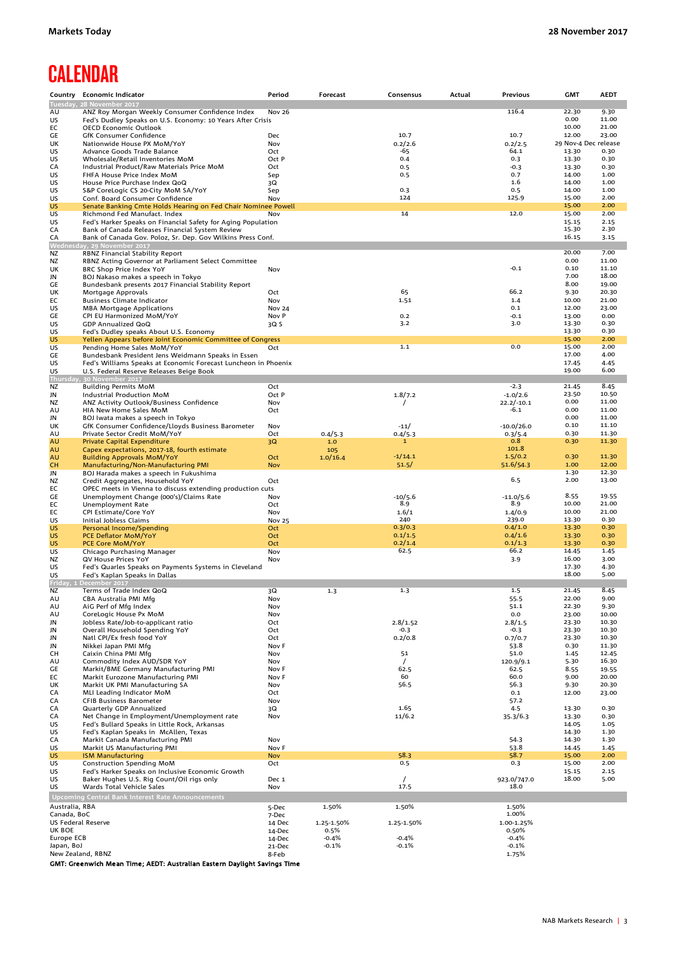# **CALENDAR**

| Country                         | <b>Economic Indicator</b>                                                                  | Period                 | Forecast           | Consensus          | Actual | Previous           | <b>GMT</b>           | AEDT           |
|---------------------------------|--------------------------------------------------------------------------------------------|------------------------|--------------------|--------------------|--------|--------------------|----------------------|----------------|
|                                 | Tuesday, 28 November 2017                                                                  |                        |                    |                    |        |                    |                      |                |
| AU                              | ANZ Roy Morgan Weekly Consumer Confidence Index                                            | <b>Nov 26</b>          |                    |                    |        | 116.4              | 22.30<br>0.00        | 9.30<br>11.00  |
| US<br>EC                        | Fed's Dudley Speaks on U.S. Economy: 10 Years After Crisis<br><b>OECD Economic Outlook</b> |                        |                    |                    |        |                    | 10.00                | 21.00          |
| GE                              | GfK Consumer Confidence                                                                    | Dec                    |                    | 10.7               |        | 10.7               | 12.00                | 23.00          |
| UK                              | Nationwide House PX MoM/YoY                                                                | Nov                    |                    | 0.2/2.6            |        | 0.2/2.5            | 29 Nov-4 Dec release |                |
| US                              | Advance Goods Trade Balance                                                                | Oct                    |                    | -65                |        | 64.1               | 13.30                | 0.30           |
| US                              | Wholesale/Retail Inventories MoM                                                           | Oct P                  |                    | 0.4                |        | 0.3                | 13.30                | 0.30           |
| CA                              | Industrial Product/Raw Materials Price MoM                                                 | Oct                    |                    | 0.5                |        | $-0.3$             | 13.30                | 0.30           |
| US<br>US                        | FHFA House Price Index MoM<br>House Price Purchase Index QoQ                               | Sep<br>3Q              |                    | 0.5                |        | 0.7<br>1.6         | 14.00<br>14.00       | 1.00<br>1.00   |
| US                              | S&P CoreLogic CS 20-City MoM SA/YoY                                                        | Sep                    |                    | 0.3                |        | 0.5                | 14.00                | 1.00           |
| US                              | Conf. Board Consumer Confidence                                                            | Nov                    |                    | 124                |        | 125.9              | 15.00                | 2.00           |
| US                              | Senate Banking Cmte Holds Hearing on Fed Chair Nominee Powell                              |                        |                    |                    |        |                    | 15.00                | 2.00           |
| US                              | Richmond Fed Manufact. Index                                                               | Nov                    |                    | 14                 |        | 12.0               | 15.00                | 2.00           |
| US                              | Fed's Harker Speaks on Financial Safety for Aging Population                               |                        |                    |                    |        |                    | 15.15                | 2.15           |
| CA                              | Bank of Canada Releases Financial System Review                                            |                        |                    |                    |        |                    | 15.30                | 2.30           |
| CA                              | Bank of Canada Gov. Poloz, Sr. Dep. Gov Wilkins Press Conf.<br>Wednesday, 29 November 2017 |                        |                    |                    |        |                    | 16.15                | 3.15           |
| NZ                              | RBNZ Financial Stability Report                                                            |                        |                    |                    |        |                    | 20.00                | 7.00           |
| NZ                              | RBNZ Acting Governor at Parliament Select Committee                                        |                        |                    |                    |        |                    | 0.00                 | 11.00          |
| UK                              | BRC Shop Price Index YoY                                                                   | Nov                    |                    |                    |        | $-0.1$             | 0.10                 | 11.10          |
| JN                              | BOJ Nakaso makes a speech in Tokyo                                                         |                        |                    |                    |        |                    | 7.00                 | 18.00          |
| GE                              | Bundesbank presents 2017 Financial Stability Report                                        |                        |                    |                    |        |                    | 8.00                 | 19.00          |
| UK                              | Mortgage Approvals                                                                         | Oct                    |                    | 65                 |        | 66.2               | 9.30                 | 20.30          |
| EC<br>US                        | <b>Business Climate Indicator</b>                                                          | Nov                    |                    | 1.51               |        | 1.4<br>0.1         | 10.00<br>12.00       | 21.00<br>23.00 |
| GE                              | <b>MBA Mortgage Applications</b><br>CPI EU Harmonized MoM/YoY                              | <b>Nov 24</b><br>Nov P |                    | 0.2                |        | $-0.1$             | 13.00                | 0.00           |
| US                              | <b>GDP Annualized QoQ</b>                                                                  | 3Q S                   |                    | 3.2                |        | 3.0                | 13.30                | 0.30           |
| US                              | Fed's Dudley speaks About U.S. Economy                                                     |                        |                    |                    |        |                    | 13.30                | 0.30           |
| <b>US</b>                       | Yellen Appears before Joint Economic Committee of Congress                                 |                        |                    |                    |        |                    | 15.00                | 2.00           |
| US                              | Pending Home Sales MoM/YoY                                                                 | Oct                    |                    | 1.1                |        | 0.0                | 15.00                | 2.00           |
| GE                              | Bundesbank President Jens Weidmann Speaks in Essen                                         |                        |                    |                    |        |                    | 17.00                | 4.00           |
| US                              | Fed's Williams Speaks at Economic Forecast Luncheon in Phoenix                             |                        |                    |                    |        |                    | 17.45<br>19.00       | 4.45<br>6.00   |
| US                              | U.S. Federal Reserve Releases Beige Book<br>Thursday, 30 November 2017                     |                        |                    |                    |        |                    |                      |                |
| NZ                              | <b>Building Permits MoM</b>                                                                | Oct                    |                    |                    |        | -2.3               | 21.45                | 8.45           |
| JN                              | Industrial Production MoM                                                                  | Oct P                  |                    | 1.8/7.2            |        | $-1.0/2.6$         | 23.50                | 10.50          |
| <b>NZ</b>                       | ANZ Activity Outlook/Business Confidence                                                   | Nov                    |                    |                    |        | $22.2/-10.1$       | 0.00                 | 11.00          |
| AU                              | HIA New Home Sales MoM                                                                     | Oct                    |                    |                    |        | -6.1               | 0.00                 | 11.00          |
| JN                              | BOJ Iwata makes a speech in Tokyo                                                          |                        |                    |                    |        |                    | 0.00                 | 11.00          |
| UK                              | GfK Consumer Confidence/Lloyds Business Barometer                                          | Nov                    |                    | $-11/$             |        | $-10.0/26.0$       | 0.10                 | 11.10          |
| AU<br>AU                        | Private Sector Credit MoM/YoY                                                              | Oct                    | 0.4/5.3<br>1.0     | 0.4/5.3<br>1       |        | 0.3/5.4<br>0.8     | 0.30<br>0.30         | 11.30<br>11.30 |
| AU                              | <b>Private Capital Expenditure</b><br>Capex expectations, 2017-18, fourth estimate         | 3Q                     | 105                |                    |        | 101.8              |                      |                |
| AU                              | <b>Building Approvals MoM/YoY</b>                                                          | Oct                    | 1.0/16.4           | $-1/14.1$          |        | 1.5/0.2            | 0.30                 | 11.30          |
| <b>CH</b>                       | Manufacturing/Non-Manufacturing PMI                                                        | <b>Nov</b>             |                    | 51.5/              |        | 51.6/54.3          | 1.00                 | 12.00          |
| JN                              | BOJ Harada makes a speech in Fukushima                                                     |                        |                    |                    |        |                    | 1.30                 | 12.30          |
| NZ                              | Credit Aggregates, Household YoY                                                           | Oct                    |                    |                    |        | 6.5                | 2.00                 | 13.00          |
| EC                              | OPEC meets in Vienna to discuss extending production cuts                                  |                        |                    |                    |        |                    |                      |                |
| GE                              | Unemployment Change (000's)/Claims Rate                                                    | Nov                    |                    | $-10/5.6$          |        | $-11.0/5.6$        | 8.55<br>10.00        | 19.55<br>21.00 |
| EC<br>EC                        | Unemployment Rate<br>CPI Estimate/Core YoY                                                 | Oct<br>Nov             |                    | 8.9<br>1.6/1       |        | 8.9<br>1.4/0.9     | 10.00                | 21.00          |
| US                              | Initial Jobless Claims                                                                     | <b>Nov 25</b>          |                    | 240                |        | 239.0              | 13.30                | 0.30           |
| <b>US</b>                       | Personal Income/Spending                                                                   | Oct                    |                    | 0.3/0.3            |        | 0.4/1.0            | 13.30                | 0.30           |
| <b>US</b>                       | <b>PCE Deflator MoM/YoY</b>                                                                | Oct                    |                    | 0.1/1.5            |        | 0.4/1.6            | 13.30                | 0.30           |
| <b>US</b>                       | PCE Core MoM/YoY                                                                           | Oct                    |                    | 0.2/1.4            |        | 0.1/1.3            | 13.30                | 0.30           |
| US                              | Chicago Purchasing Manager                                                                 | Nov                    |                    | 62.5               |        | 66.2               | 14.45                | 1.45           |
| NZ                              | QV House Prices YoY                                                                        | Nov                    |                    |                    |        | 3.9                | 16.00                | 3.00           |
| US<br>US                        | Fed's Quarles Speaks on Payments Systems in Cleveland                                      |                        |                    |                    |        |                    | 17.30<br>18.00       | 4.30<br>5.00   |
|                                 | Fed's Kaplan Speaks in Dallas<br>Friday, 1 December 2017                                   |                        |                    |                    |        |                    |                      |                |
| <b>NZ</b>                       | Terms of Trade Index QoQ                                                                   | 3Q                     | 1.3                | 1.3                |        | 1.5                | 21.45                | 8.45           |
| AU                              | CBA Australia PMI Mfg                                                                      | Nov                    |                    |                    |        | 55.5               | 22.00                | 9.00           |
| AU                              | AiG Perf of Mfg Index                                                                      | Nov                    |                    |                    |        | 51.1               | 22.30                | 9.30           |
| AU                              | CoreLogic House Px MoM                                                                     | Nov                    |                    |                    |        | 0.0                | 23.00                | 10.00          |
| JN                              | Jobless Rate/Job-to-applicant ratio<br>Overall Household Spending YoY                      | Oct                    |                    | 2.8/1.52           |        | 2.8/1.5            | 23.30<br>23.30       | 10.30<br>10.30 |
| JN<br>JN                        | Natl CPI/Ex fresh food YoY                                                                 | Oct<br>Oct             |                    | $-0.3$<br>0.2/0.8  |        | $-0.3$<br>0.7/0.7  | 23.30                | 10.30          |
| JN                              | Nikkei Japan PMI Mfg                                                                       | Nov F                  |                    |                    |        | 53.8               | 0.30                 | 11.30          |
| CH                              | Caixin China PMI Mfg                                                                       | Nov                    |                    | 51                 |        | 51.0               | 1.45                 | 12.45          |
| AU                              | Commodity Index AUD/SDR YoY                                                                | Nov                    |                    | $\prime$           |        | 120.9/9.1          | 5.30                 | 16.30          |
| GE                              | Markit/BME Germany Manufacturing PMI                                                       | Nov F                  |                    | 62.5               |        | 62.5               | 8.55                 | 19.55          |
| EC                              | Markit Eurozone Manufacturing PMI                                                          | Nov F                  |                    | 60                 |        | 60.0               | 9.00                 | 20.00          |
| UK                              | Markit UK PMI Manufacturing SA                                                             | Nov                    |                    | 56.5               |        | 56.3               | 9.30<br>12.00        | 20.30          |
| CA<br>CA                        | MLI Leading Indicator MoM<br><b>CFIB Business Barometer</b>                                | Oct<br>Nov             |                    |                    |        | 0.1<br>57.2        |                      | 23.00          |
| CA                              | Quarterly GDP Annualized                                                                   | 3Q                     |                    | 1.65               |        | 4.5                | 13.30                | 0.30           |
| CA                              | Net Change in Employment/Unemployment rate                                                 | Nov                    |                    | 11/6.2             |        | 35.3/6.3           | 13.30                | 0.30           |
| US                              | Fed's Bullard Speaks in Little Rock, Arkansas                                              |                        |                    |                    |        |                    | 14.05                | 1.05           |
| US                              | Fed's Kaplan Speaks in McAllen, Texas                                                      |                        |                    |                    |        |                    | 14.30                | 1.30           |
| CA                              | Markit Canada Manufacturing PMI                                                            | Nov                    |                    |                    |        | 54.3               | 14.30                | 1.30           |
| US<br>US                        | Markit US Manufacturing PMI<br><b>ISM Manufacturing</b>                                    | Nov F<br><b>Nov</b>    |                    | 58.3               |        | 53.8<br>58.7       | 14.45<br>15.00       | 1.45<br>2.00   |
| US                              | Construction Spending MoM                                                                  | Oct                    |                    | 0.5                |        | 0.3                | 15.00                | 2.00           |
| US                              | Fed's Harker Speaks on Inclusive Economic Growth                                           |                        |                    |                    |        |                    | 15.15                | 2.15           |
| US                              | Baker Hughes U.S. Rig Count/Oil rigs only                                                  | Dec 1                  |                    |                    |        | 923.0/747.0        | 18.00                | 5.00           |
| US                              | Wards Total Vehicle Sales                                                                  | Nov                    |                    | 17.5               |        | 18.0               |                      |                |
|                                 | <b>Upcoming Central Bank Interest Rate Announcements</b>                                   |                        |                    |                    |        |                    |                      |                |
| Australia, RBA                  |                                                                                            | 5-Dec                  | 1.50%              | 1.50%              |        | 1.50%              |                      |                |
| Canada, BoC                     |                                                                                            | 7-Dec                  |                    |                    |        | 1.00%              |                      |                |
| <b>US Federal Reserve</b>       |                                                                                            | 14 Dec                 | 1.25-1.50%         | 1.25-1.50%         |        | 1.00-1.25%         |                      |                |
| UK BOE                          |                                                                                            | 14-Dec                 | 0.5%               |                    |        | 0.50%              |                      |                |
| <b>Europe ECB</b><br>Japan, BoJ |                                                                                            | 14-Dec                 | $-0.4%$<br>$-0.1%$ | $-0.4%$<br>$-0.1%$ |        | $-0.4%$<br>$-0.1%$ |                      |                |
|                                 | New Zealand, RBNZ                                                                          | 21-Dec<br>8-Feb        |                    |                    |        | 1.75%              |                      |                |
|                                 |                                                                                            |                        |                    |                    |        |                    |                      |                |

GMT: Greenwich Mean Time; AEDT: Australian Eastern Daylight Savings Time